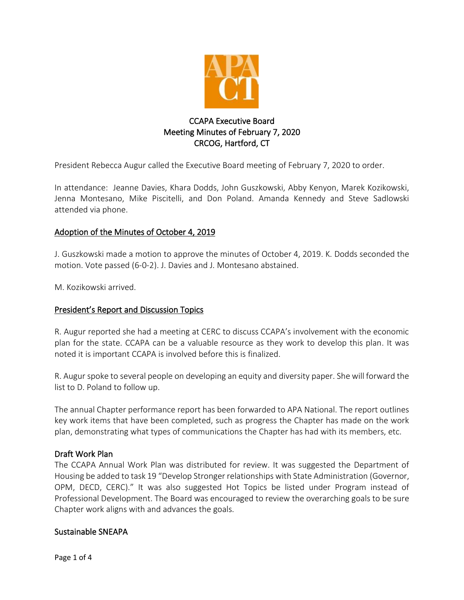

# CCAPA Executive Board Meeting Minutes of February 7, 2020 CRCOG, Hartford, CT

President Rebecca Augur called the Executive Board meeting of February 7, 2020 to order.

In attendance: Jeanne Davies, Khara Dodds, John Guszkowski, Abby Kenyon, Marek Kozikowski, Jenna Montesano, Mike Piscitelli, and Don Poland. Amanda Kennedy and Steve Sadlowski attended via phone.

# Adoption of the Minutes of October 4, 2019

J. Guszkowski made a motion to approve the minutes of October 4, 2019. K. Dodds seconded the motion. Vote passed (6-0-2). J. Davies and J. Montesano abstained.

M. Kozikowski arrived.

## President's Report and Discussion Topics

R. Augur reported she had a meeting at CERC to discuss CCAPA's involvement with the economic plan for the state. CCAPA can be a valuable resource as they work to develop this plan. It was noted it is important CCAPA is involved before this is finalized.

R. Augur spoke to several people on developing an equity and diversity paper. She will forward the list to D. Poland to follow up.

The annual Chapter performance report has been forwarded to APA National. The report outlines key work items that have been completed, such as progress the Chapter has made on the work plan, demonstrating what types of communications the Chapter has had with its members, etc.

## Draft Work Plan

The CCAPA Annual Work Plan was distributed for review. It was suggested the Department of Housing be added to task 19 "Develop Stronger relationships with State Administration (Governor, OPM, DECD, CERC)." It was also suggested Hot Topics be listed under Program instead of Professional Development. The Board was encouraged to review the overarching goals to be sure Chapter work aligns with and advances the goals.

## Sustainable SNEAPA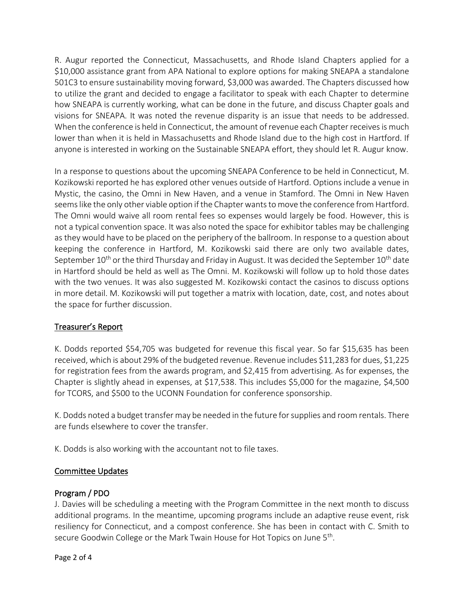R. Augur reported the Connecticut, Massachusetts, and Rhode Island Chapters applied for a \$10,000 assistance grant from APA National to explore options for making SNEAPA a standalone 501C3 to ensure sustainability moving forward, \$3,000 was awarded. The Chapters discussed how to utilize the grant and decided to engage a facilitator to speak with each Chapter to determine how SNEAPA is currently working, what can be done in the future, and discuss Chapter goals and visions for SNEAPA. It was noted the revenue disparity is an issue that needs to be addressed. When the conference is held in Connecticut, the amount of revenue each Chapter receives is much lower than when it is held in Massachusetts and Rhode Island due to the high cost in Hartford. If anyone is interested in working on the Sustainable SNEAPA effort, they should let R. Augur know.

In a response to questions about the upcoming SNEAPA Conference to be held in Connecticut, M. Kozikowski reported he has explored other venues outside of Hartford. Options include a venue in Mystic, the casino, the Omni in New Haven, and a venue in Stamford. The Omni in New Haven seems like the only other viable option if the Chapter wants to move the conference from Hartford. The Omni would waive all room rental fees so expenses would largely be food. However, this is not a typical convention space. It was also noted the space for exhibitor tables may be challenging as they would have to be placed on the periphery of the ballroom. In response to a question about keeping the conference in Hartford, M. Kozikowski said there are only two available dates, September  $10^{th}$  or the third Thursday and Friday in August. It was decided the September  $10^{th}$  date in Hartford should be held as well as The Omni. M. Kozikowski will follow up to hold those dates with the two venues. It was also suggested M. Kozikowski contact the casinos to discuss options in more detail. M. Kozikowski will put together a matrix with location, date, cost, and notes about the space for further discussion.

# Treasurer's Report

K. Dodds reported \$54,705 was budgeted for revenue this fiscal year. So far \$15,635 has been received, which is about 29% of the budgeted revenue. Revenue includes \$11,283 for dues, \$1,225 for registration fees from the awards program, and \$2,415 from advertising. As for expenses, the Chapter is slightly ahead in expenses, at \$17,538. This includes \$5,000 for the magazine, \$4,500 for TCORS, and \$500 to the UCONN Foundation for conference sponsorship.

K. Dodds noted a budget transfer may be needed in the future for supplies and room rentals. There are funds elsewhere to cover the transfer.

K. Dodds is also working with the accountant not to file taxes.

## Committee Updates

## Program / PDO

J. Davies will be scheduling a meeting with the Program Committee in the next month to discuss additional programs. In the meantime, upcoming programs include an adaptive reuse event, risk resiliency for Connecticut, and a compost conference. She has been in contact with C. Smith to secure Goodwin College or the Mark Twain House for Hot Topics on June 5<sup>th</sup>.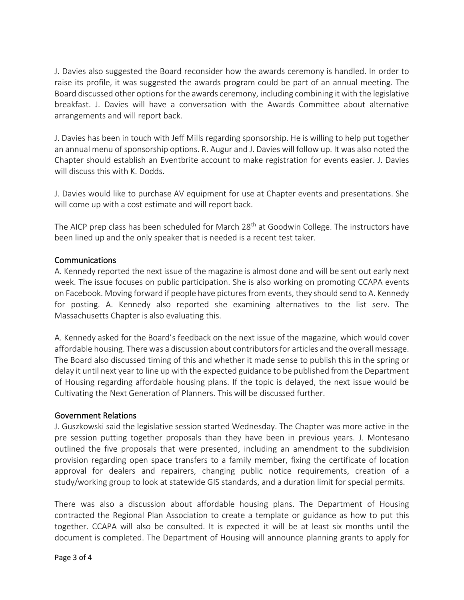J. Davies also suggested the Board reconsider how the awards ceremony is handled. In order to raise its profile, it was suggested the awards program could be part of an annual meeting. The Board discussed other options for the awards ceremony, including combining it with the legislative breakfast. J. Davies will have a conversation with the Awards Committee about alternative arrangements and will report back.

J. Davies has been in touch with Jeff Mills regarding sponsorship. He is willing to help put together an annual menu of sponsorship options. R. Augur and J. Davies will follow up. It was also noted the Chapter should establish an Eventbrite account to make registration for events easier. J. Davies will discuss this with K. Dodds.

J. Davies would like to purchase AV equipment for use at Chapter events and presentations. She will come up with a cost estimate and will report back.

The AICP prep class has been scheduled for March 28<sup>th</sup> at Goodwin College. The instructors have been lined up and the only speaker that is needed is a recent test taker.

#### Communications

A. Kennedy reported the next issue of the magazine is almost done and will be sent out early next week. The issue focuses on public participation. She is also working on promoting CCAPA events on Facebook. Moving forward if people have pictures from events, they should send to A. Kennedy for posting. A. Kennedy also reported she examining alternatives to the list serv. The Massachusetts Chapter is also evaluating this.

A. Kennedy asked for the Board's feedback on the next issue of the magazine, which would cover affordable housing. There was a discussion about contributors for articles and the overall message. The Board also discussed timing of this and whether it made sense to publish this in the spring or delay it until next year to line up with the expected guidance to be published from the Department of Housing regarding affordable housing plans. If the topic is delayed, the next issue would be Cultivating the Next Generation of Planners. This will be discussed further.

#### Government Relations

J. Guszkowski said the legislative session started Wednesday. The Chapter was more active in the pre session putting together proposals than they have been in previous years. J. Montesano outlined the five proposals that were presented, including an amendment to the subdivision provision regarding open space transfers to a family member, fixing the certificate of location approval for dealers and repairers, changing public notice requirements, creation of a study/working group to look at statewide GIS standards, and a duration limit for special permits.

There was also a discussion about affordable housing plans. The Department of Housing contracted the Regional Plan Association to create a template or guidance as how to put this together. CCAPA will also be consulted. It is expected it will be at least six months until the document is completed. The Department of Housing will announce planning grants to apply for